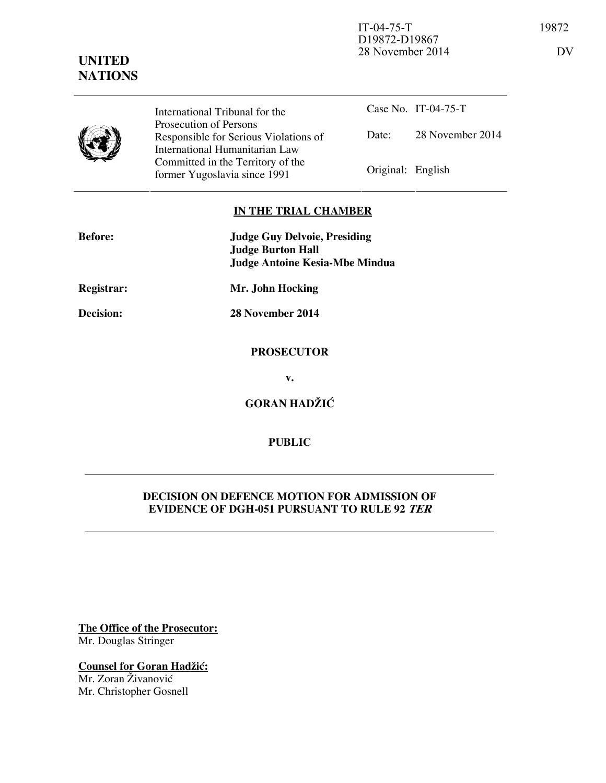

**UNITED NATIONS**

> International Tribunal for the Prosecution of Persons Responsible for Serious Violations of International Humanitarian Law Committed in the Territory of the Former Yugoslavia since 1991 Original: English

Case No. IT-04-75-T Date: 28 November 2014

### **IN THE TRIAL CHAMBER**

| <b>Before:</b> | <b>Judge Guy Delvoie, Presiding</b><br><b>Judge Burton Hall</b><br><b>Judge Antoine Kesia-Mbe Mindua</b> |
|----------------|----------------------------------------------------------------------------------------------------------|
| Registrar:     | Mr. John Hocking                                                                                         |
| Decision:      | 28 November 2014                                                                                         |
|                | <b>PROSECUTOR</b>                                                                                        |
|                | v.                                                                                                       |
|                | <b>GORAN HADŽIĆ</b>                                                                                      |
|                |                                                                                                          |

# **PUBLIC**

# **DECISION ON DEFENCE MOTION FOR ADMISSION OF EVIDENCE OF DGH-051 PURSUANT TO RULE 92 TER**

**The Office of the Prosecutor:** Mr. Douglas Stringer

**Counsel for Goran Hadžić:** Mr. Zoran Živanović Mr. Christopher Gosnell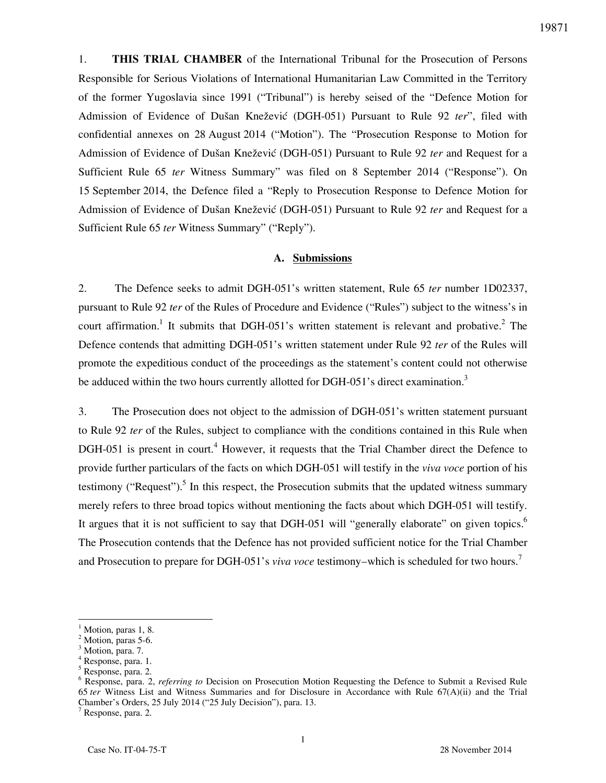1. **THIS TRIAL CHAMBER** of the International Tribunal for the Prosecution of Persons Responsible for Serious Violations of International Humanitarian Law Committed in the Territory of the former Yugoslavia since 1991 ("Tribunal") is hereby seised of the "Defence Motion for Admission of Evidence of Dušan Knežević (DGH-051) Pursuant to Rule 92 *ter*", filed with confidential annexes on 28 August 2014 ("Motion"). The "Prosecution Response to Motion for Admission of Evidence of Dušan Knežević (DGH-051) Pursuant to Rule 92 *ter* and Request for a Sufficient Rule 65 *ter* Witness Summary" was filed on 8 September 2014 ("Response"). On 15 September 2014, the Defence filed a "Reply to Prosecution Response to Defence Motion for Admission of Evidence of Dušan Knežević (DGH-051) Pursuant to Rule 92 *ter* and Request for a Sufficient Rule 65 *ter* Witness Summary" ("Reply").

### **A. Submissions**

2. The Defence seeks to admit DGH-051's written statement, Rule 65 *ter* number 1D02337, pursuant to Rule 92 *ter* of the Rules of Procedure and Evidence ("Rules") subject to the witness's in court affirmation.<sup>1</sup> It submits that DGH-051's written statement is relevant and probative.<sup>2</sup> The Defence contends that admitting DGH-051's written statement under Rule 92 *ter* of the Rules will promote the expeditious conduct of the proceedings as the statement's content could not otherwise be adduced within the two hours currently allotted for DGH-051's direct examination.<sup>3</sup>

3. The Prosecution does not object to the admission of DGH-051's written statement pursuant to Rule 92 *ter* of the Rules, subject to compliance with the conditions contained in this Rule when DGH-051 is present in court.<sup>4</sup> However, it requests that the Trial Chamber direct the Defence to provide further particulars of the facts on which DGH-051 will testify in the *viva voce* portion of his testimony ("Request").<sup>5</sup> In this respect, the Prosecution submits that the updated witness summary merely refers to three broad topics without mentioning the facts about which DGH-051 will testify. It argues that it is not sufficient to say that DGH-051 will "generally elaborate" on given topics.<sup>6</sup> The Prosecution contends that the Defence has not provided sufficient notice for the Trial Chamber and Prosecution to prepare for DGH-051's *viva voce* testimony–which is scheduled for two hours.<sup>7</sup>

 $\overline{a}$ 

7 Response, para. 2.

<sup>1</sup> Motion, paras 1, 8.

<sup>2</sup> Motion, paras 5-6.

<sup>3</sup> Motion, para. 7.

<sup>4</sup> Response, para. 1.

<sup>5</sup> Response, para. 2.

<sup>&</sup>lt;sup>6</sup> Response, para. 2, *referring to* Decision on Prosecution Motion Requesting the Defence to Submit a Revised Rule 65 *ter* Witness List and Witness Summaries and for Disclosure in Accordance with Rule 67(A)(ii) and the Trial Chamber's Orders, 25 July 2014 ("25 July Decision"), para. 13.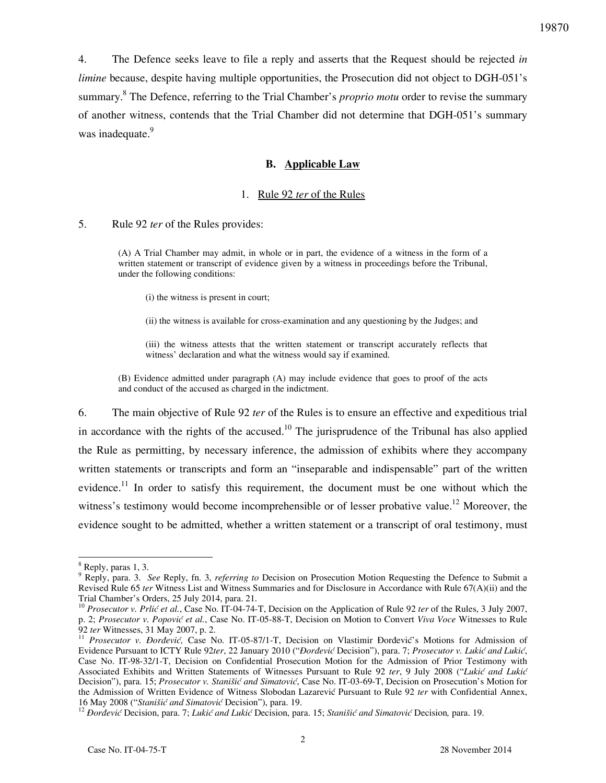4. The Defence seeks leave to file a reply and asserts that the Request should be rejected *in limine* because, despite having multiple opportunities, the Prosecution did not object to DGH-051's summary.<sup>8</sup> The Defence, referring to the Trial Chamber's *proprio motu* order to revise the summary of another witness, contends that the Trial Chamber did not determine that DGH-051's summary was inadequate.<sup>9</sup>

#### **B. Applicable Law**

#### 1. Rule 92 *ter* of the Rules

#### 5. Rule 92 *ter* of the Rules provides:

(A) A Trial Chamber may admit, in whole or in part, the evidence of a witness in the form of a written statement or transcript of evidence given by a witness in proceedings before the Tribunal, under the following conditions:

(i) the witness is present in court;

(ii) the witness is available for cross-examination and any questioning by the Judges; and

(iii) the witness attests that the written statement or transcript accurately reflects that witness' declaration and what the witness would say if examined.

(B) Evidence admitted under paragraph (A) may include evidence that goes to proof of the acts and conduct of the accused as charged in the indictment.

6. The main objective of Rule 92 *ter* of the Rules is to ensure an effective and expeditious trial in accordance with the rights of the accused.<sup>10</sup> The jurisprudence of the Tribunal has also applied the Rule as permitting, by necessary inference, the admission of exhibits where they accompany written statements or transcripts and form an "inseparable and indispensable" part of the written evidence.<sup>11</sup> In order to satisfy this requirement, the document must be one without which the witness's testimony would become incomprehensible or of lesser probative value.<sup>12</sup> Moreover, the evidence sought to be admitted, whether a written statement or a transcript of oral testimony, must

 $\overline{a}$ 

<sup>8</sup> Reply, paras 1, 3.

<sup>9</sup> Reply, para. 3. *See* Reply, fn. 3, *referring to* Decision on Prosecution Motion Requesting the Defence to Submit a Revised Rule 65 *ter* Witness List and Witness Summaries and for Disclosure in Accordance with Rule 67(A)(ii) and the Trial Chamber's Orders, 25 July 2014, para. 21.

<sup>&</sup>lt;sup>10</sup> Prosecutor v. Prlić et al., Case No. IT-04-74-T, Decision on the Application of Rule 92 *ter* of the Rules, 3 July 2007, p. 2; Prosecutor v. Popović et al., Case No. IT-05-88-T, Decision on Motion to Convert *Viva Voce Witnesses* to Rule 92 *ter* Witnesses, 31 May 2007, p. 2.

<sup>&</sup>lt;sup>11</sup> Prosecutor v. Đorđević, Case No. IT-05-87/1-T, Decision on Vlastimir Đorđević's Motions for Admission of Evidence Pursuant to ICTY Rule 92ter, 22 January 2010 ("*Đorđević* Decision"), para. 7; Prosecutor v. Lukić and Lukić, Case No. IT-98-32/1-T, Decision on Confidential Prosecution Motion for the Admission of Prior Testimony with Associated Exhibits and Written Statements of Witnesses Pursuant to Rule 92 ter, 9 July 2008 ("Lukić and Lukić Decision"), para. 15; *Prosecutor v. Stanišić and Simatović*, Case No. IT-03-69-T, Decision on Prosecution's Motion for the Admission of Written Evidence of Witness Slobodan Lazarević Pursuant to Rule 92 *ter* with Confidential Annex, 16 May 2008 ("Stanišić and Simatović Decision"), para. 19.

<sup>&</sup>lt;sup>12</sup> *Dorđević* Decision, para. 7; *Lukić and Lukić* Decision, para. 15; *Stanišić and Simatović* Decision, para. 19.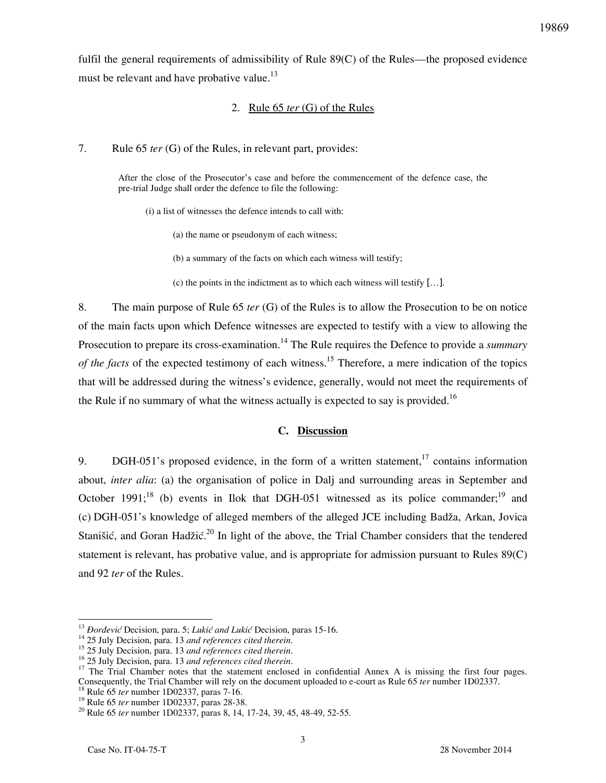fulfil the general requirements of admissibility of Rule 89(C) of the Rules—the proposed evidence must be relevant and have probative value.<sup>13</sup>

### 2. Rule 65 *ter* (G) of the Rules

7. Rule 65 *ter* (G) of the Rules, in relevant part, provides:

After the close of the Prosecutor's case and before the commencement of the defence case, the pre-trial Judge shall order the defence to file the following:

(i) a list of witnesses the defence intends to call with:

(a) the name or pseudonym of each witness;

(b) a summary of the facts on which each witness will testify;

(c) the points in the indictment as to which each witness will testify […].

8. The main purpose of Rule 65 *ter* (G) of the Rules is to allow the Prosecution to be on notice of the main facts upon which Defence witnesses are expected to testify with a view to allowing the Prosecution to prepare its cross-examination.<sup>14</sup> The Rule requires the Defence to provide a *summary of the facts* of the expected testimony of each witness.<sup>15</sup> Therefore, a mere indication of the topics that will be addressed during the witness's evidence, generally, would not meet the requirements of the Rule if no summary of what the witness actually is expected to say is provided.<sup>16</sup>

# **C. Discussion**

9. DGH-051's proposed evidence, in the form of a written statement,<sup>17</sup> contains information about, *inter alia*: (a) the organisation of police in Dalj and surrounding areas in September and October 1991;<sup>18</sup> (b) events in Ilok that DGH-051 witnessed as its police commander;<sup>19</sup> and (c) DGH-051's knowledge of alleged members of the alleged JCE including Badža, Arkan, Jovica Stanišić, and Goran Hadžić.<sup>20</sup> In light of the above, the Trial Chamber considers that the tendered statement is relevant, has probative value, and is appropriate for admission pursuant to Rules 89(C) and 92 *ter* of the Rules.

<sup>18</sup> Rule 65 *ter* number 1D02337, paras 7-16.

 $\overline{a}$ 

<sup>&</sup>lt;sup>13</sup> *Đorđević* Decision, para. 5; *Lukić and Lukić* Decision, paras 15-16.

<sup>14</sup> 25 July Decision, para. 13 *and references cited therein*.

<sup>15</sup> 25 July Decision, para. 13 *and references cited therein*.

<sup>16</sup> 25 July Decision, para. 13 *and references cited therein*.

<sup>&</sup>lt;sup>17</sup> The Trial Chamber notes that the statement enclosed in confidential Annex A is missing the first four pages. Consequently, the Trial Chamber will rely on the document uploaded to e-court as Rule 65 *ter* number 1D02337.

<sup>19</sup> Rule 65 *ter* number 1D02337, paras 28-38.

<sup>20</sup> Rule 65 *ter* number 1D02337, paras 8, 14, 17-24, 39, 45, 48-49, 52-55.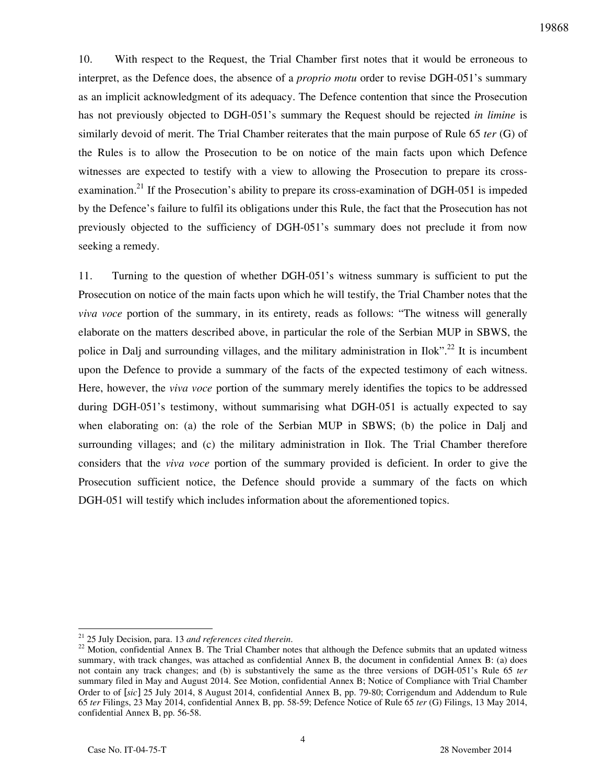10. With respect to the Request, the Trial Chamber first notes that it would be erroneous to interpret, as the Defence does, the absence of a *proprio motu* order to revise DGH-051's summary as an implicit acknowledgment of its adequacy. The Defence contention that since the Prosecution has not previously objected to DGH-051's summary the Request should be rejected *in limine* is similarly devoid of merit. The Trial Chamber reiterates that the main purpose of Rule 65 *ter* (G) of the Rules is to allow the Prosecution to be on notice of the main facts upon which Defence witnesses are expected to testify with a view to allowing the Prosecution to prepare its crossexamination.<sup>21</sup> If the Prosecution's ability to prepare its cross-examination of DGH-051 is impeded by the Defence's failure to fulfil its obligations under this Rule, the fact that the Prosecution has not previously objected to the sufficiency of DGH-051's summary does not preclude it from now seeking a remedy.

11. Turning to the question of whether DGH-051's witness summary is sufficient to put the Prosecution on notice of the main facts upon which he will testify, the Trial Chamber notes that the *viva voce* portion of the summary, in its entirety, reads as follows: "The witness will generally elaborate on the matters described above, in particular the role of the Serbian MUP in SBWS, the police in Dalj and surrounding villages, and the military administration in Ilok".<sup>22</sup> It is incumbent upon the Defence to provide a summary of the facts of the expected testimony of each witness. Here, however, the *viva voce* portion of the summary merely identifies the topics to be addressed during DGH-051's testimony, without summarising what DGH-051 is actually expected to say when elaborating on: (a) the role of the Serbian MUP in SBWS; (b) the police in Dalj and surrounding villages; and (c) the military administration in Ilok. The Trial Chamber therefore considers that the *viva voce* portion of the summary provided is deficient. In order to give the Prosecution sufficient notice, the Defence should provide a summary of the facts on which DGH-051 will testify which includes information about the aforementioned topics.

 $\overline{a}$ 

<sup>21</sup> 25 July Decision, para. 13 *and references cited therein*.

<sup>&</sup>lt;sup>22</sup> Motion, confidential Annex B. The Trial Chamber notes that although the Defence submits that an updated witness summary, with track changes, was attached as confidential Annex B, the document in confidential Annex B: (a) does not contain any track changes; and (b) is substantively the same as the three versions of DGH-051's Rule 65 *ter* summary filed in May and August 2014. See Motion, confidential Annex B; Notice of Compliance with Trial Chamber Order to of [*sic*] 25 July 2014, 8 August 2014, confidential Annex B, pp. 79-80; Corrigendum and Addendum to Rule 65 *ter* Filings, 23 May 2014, confidential Annex B, pp. 58-59; Defence Notice of Rule 65 *ter* (G) Filings, 13 May 2014, confidential Annex B, pp. 56-58.